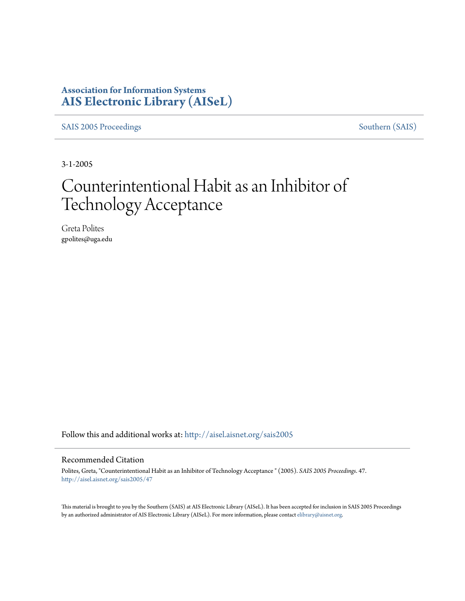## **Association for Information Systems [AIS Electronic Library \(AISeL\)](http://aisel.aisnet.org?utm_source=aisel.aisnet.org%2Fsais2005%2F47&utm_medium=PDF&utm_campaign=PDFCoverPages)**

[SAIS 2005 Proceedings](http://aisel.aisnet.org/sais2005?utm_source=aisel.aisnet.org%2Fsais2005%2F47&utm_medium=PDF&utm_campaign=PDFCoverPages) [Southern \(SAIS\)](http://aisel.aisnet.org/sais?utm_source=aisel.aisnet.org%2Fsais2005%2F47&utm_medium=PDF&utm_campaign=PDFCoverPages)

3-1-2005

# Counterintentional Habit as an Inhibitor of Technology Acceptance

Greta Polites gpolites@uga.edu

Follow this and additional works at: [http://aisel.aisnet.org/sais2005](http://aisel.aisnet.org/sais2005?utm_source=aisel.aisnet.org%2Fsais2005%2F47&utm_medium=PDF&utm_campaign=PDFCoverPages)

#### Recommended Citation

Polites, Greta, "Counterintentional Habit as an Inhibitor of Technology Acceptance " (2005). *SAIS 2005 Proceedings*. 47. [http://aisel.aisnet.org/sais2005/47](http://aisel.aisnet.org/sais2005/47?utm_source=aisel.aisnet.org%2Fsais2005%2F47&utm_medium=PDF&utm_campaign=PDFCoverPages)

This material is brought to you by the Southern (SAIS) at AIS Electronic Library (AISeL). It has been accepted for inclusion in SAIS 2005 Proceedings by an authorized administrator of AIS Electronic Library (AISeL). For more information, please contact [elibrary@aisnet.org](mailto:elibrary@aisnet.org%3E).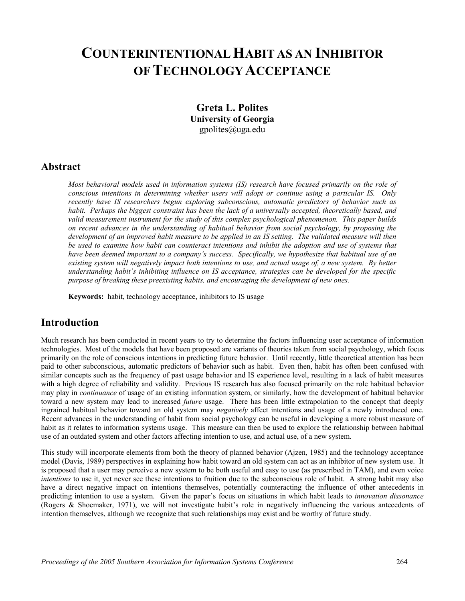## **COUNTERINTENTIONAL HABIT AS AN INHIBITOR OFTECHNOLOGY ACCEPTANCE**

**Greta L. Polites University of Georgia**  gpolites@uga.edu

#### **Abstract**

*Most behavioral models used in information systems (IS) research have focused primarily on the role of conscious intentions in determining whether users will adopt or continue using a particular IS. Only recently have IS researchers begun exploring subconscious, automatic predictors of behavior such as habit. Perhaps the biggest constraint has been the lack of a universally accepted, theoretically based, and valid measurement instrument for the study of this complex psychological phenomenon. This paper builds on recent advances in the understanding of habitual behavior from social psychology, by proposing the development of an improved habit measure to be applied in an IS setting. The validated measure will then be used to examine how habit can counteract intentions and inhibit the adoption and use of systems that have been deemed important to a company's success. Specifically, we hypothesize that habitual use of an existing system will negatively impact both intentions to use, and actual usage of, a new system. By better understanding habit's inhibiting influence on IS acceptance, strategies can be developed for the specific purpose of breaking these preexisting habits, and encouraging the development of new ones.* 

**Keywords:** habit, technology acceptance, inhibitors to IS usage

#### **Introduction**

Much research has been conducted in recent years to try to determine the factors influencing user acceptance of information technologies. Most of the models that have been proposed are variants of theories taken from social psychology, which focus primarily on the role of conscious intentions in predicting future behavior. Until recently, little theoretical attention has been paid to other subconscious, automatic predictors of behavior such as habit. Even then, habit has often been confused with similar concepts such as the frequency of past usage behavior and IS experience level, resulting in a lack of habit measures with a high degree of reliability and validity. Previous IS research has also focused primarily on the role habitual behavior may play in *continuance* of usage of an existing information system, or similarly, how the development of habitual behavior toward a new system may lead to increased *future* usage. There has been little extrapolation to the concept that deeply ingrained habitual behavior toward an old system may *negatively* affect intentions and usage of a newly introduced one. Recent advances in the understanding of habit from social psychology can be useful in developing a more robust measure of habit as it relates to information systems usage. This measure can then be used to explore the relationship between habitual use of an outdated system and other factors affecting intention to use, and actual use, of a new system.

This study will incorporate elements from both the theory of planned behavior (Ajzen, 1985) and the technology acceptance model (Davis, 1989) perspectives in explaining how habit toward an old system can act as an inhibitor of new system use. It is proposed that a user may perceive a new system to be both useful and easy to use (as prescribed in TAM), and even voice *intentions* to use it, yet never see these intentions to fruition due to the subconscious role of habit. A strong habit may also have a direct negative impact on intentions themselves, potentially counteracting the influence of other antecedents in predicting intention to use a system. Given the paper's focus on situations in which habit leads to *innovation dissonance* (Rogers & Shoemaker, 1971), we will not investigate habit's role in negatively influencing the various antecedents of intention themselves, although we recognize that such relationships may exist and be worthy of future study.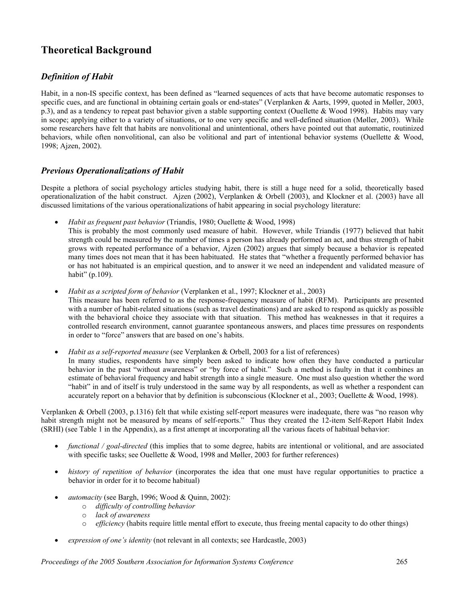## **Theoretical Background**

#### *Definition of Habit*

Habit, in a non-IS specific context, has been defined as "learned sequences of acts that have become automatic responses to specific cues, and are functional in obtaining certain goals or end-states" (Verplanken & Aarts, 1999, quoted in Møller, 2003, p.3), and as a tendency to repeat past behavior given a stable supporting context (Ouellette & Wood 1998). Habits may vary in scope; applying either to a variety of situations, or to one very specific and well-defined situation (Møller, 2003). While some researchers have felt that habits are nonvolitional and unintentional, others have pointed out that automatic, routinized behaviors, while often nonvolitional, can also be volitional and part of intentional behavior systems (Ouellette & Wood, 1998; Ajzen, 2002).

#### *Previous Operationalizations of Habit*

Despite a plethora of social psychology articles studying habit, there is still a huge need for a solid, theoretically based operationalization of the habit construct. Ajzen (2002), Verplanken & Orbell (2003), and Klockner et al. (2003) have all discussed limitations of the various operationalizations of habit appearing in social psychology literature:

- *Habit as frequent past behavior* (Triandis, 1980; Ouellette & Wood, 1998)
- This is probably the most commonly used measure of habit. However, while Triandis (1977) believed that habit strength could be measured by the number of times a person has already performed an act, and thus strength of habit grows with repeated performance of a behavior, Ajzen (2002) argues that simply because a behavior is repeated many times does not mean that it has been habituated. He states that "whether a frequently performed behavior has or has not habituated is an empirical question, and to answer it we need an independent and validated measure of habit" (p.109).
- *Habit as a scripted form of behavior* (Verplanken et al., 1997; Klockner et al., 2003) This measure has been referred to as the response-frequency measure of habit (RFM). Participants are presented with a number of habit-related situations (such as travel destinations) and are asked to respond as quickly as possible with the behavioral choice they associate with that situation. This method has weaknesses in that it requires a controlled research environment, cannot guarantee spontaneous answers, and places time pressures on respondents in order to "force" answers that are based on one's habits.
- *Habit as a self-reported measure* (see Verplanken & Orbell, 2003 for a list of references) In many studies, respondents have simply been asked to indicate how often they have conducted a particular behavior in the past "without awareness" or "by force of habit." Such a method is faulty in that it combines an estimate of behavioral frequency and habit strength into a single measure. One must also question whether the word "habit" in and of itself is truly understood in the same way by all respondents, as well as whether a respondent can accurately report on a behavior that by definition is subconscious (Klockner et al., 2003; Ouellette & Wood, 1998).

Verplanken & Orbell (2003, p.1316) felt that while existing self-report measures were inadequate, there was "no reason why habit strength might not be measured by means of self-reports." Thus they created the 12-item Self-Report Habit Index (SRHI) (see Table 1 in the Appendix), as a first attempt at incorporating all the various facets of habitual behavior:

- *functional / goal-directed* (this implies that to some degree, habits are intentional or volitional, and are associated with specific tasks; see Ouellette & Wood, 1998 and Møller, 2003 for further references)
- *history of repetition of behavior* (incorporates the idea that one must have regular opportunities to practice a behavior in order for it to become habitual)
- *automacity* (see Bargh, 1996; Wood & Quinn, 2002):
	- o *difficulty of controlling behavior*
	- o *lack of awareness*
	- o *efficiency* (habits require little mental effort to execute, thus freeing mental capacity to do other things)
- *expression of one's identity* (not relevant in all contexts; see Hardcastle, 2003)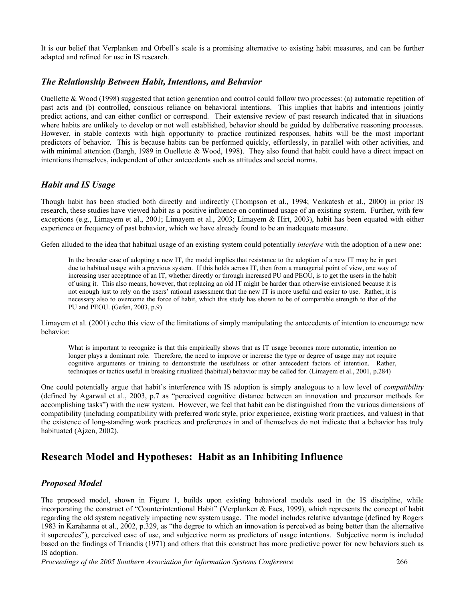It is our belief that Verplanken and Orbell's scale is a promising alternative to existing habit measures, and can be further adapted and refined for use in IS research.

#### *The Relationship Between Habit, Intentions, and Behavior*

Ouellette & Wood (1998) suggested that action generation and control could follow two processes: (a) automatic repetition of past acts and (b) controlled, conscious reliance on behavioral intentions. This implies that habits and intentions jointly predict actions, and can either conflict or correspond. Their extensive review of past research indicated that in situations where habits are unlikely to develop or not well established, behavior should be guided by deliberative reasoning processes. However, in stable contexts with high opportunity to practice routinized responses, habits will be the most important predictors of behavior. This is because habits can be performed quickly, effortlessly, in parallel with other activities, and with minimal attention (Bargh, 1989 in Ouellette & Wood, 1998). They also found that habit could have a direct impact on intentions themselves, independent of other antecedents such as attitudes and social norms.

#### *Habit and IS Usage*

Though habit has been studied both directly and indirectly (Thompson et al., 1994; Venkatesh et al., 2000) in prior IS research, these studies have viewed habit as a positive influence on continued usage of an existing system. Further, with few exceptions (e.g., Limayem et al., 2001; Limayem et al., 2003; Limayem & Hirt, 2003), habit has been equated with either experience or frequency of past behavior, which we have already found to be an inadequate measure.

Gefen alluded to the idea that habitual usage of an existing system could potentially *interfere* with the adoption of a new one:

In the broader case of adopting a new IT, the model implies that resistance to the adoption of a new IT may be in part due to habitual usage with a previous system. If this holds across IT, then from a managerial point of view, one way of increasing user acceptance of an IT, whether directly or through increased PU and PEOU, is to get the users in the habit of using it. This also means, however, that replacing an old IT might be harder than otherwise envisioned because it is not enough just to rely on the users' rational assessment that the new IT is more useful and easier to use. Rather, it is necessary also to overcome the force of habit, which this study has shown to be of comparable strength to that of the PU and PEOU. (Gefen, 2003, p.9)

Limayem et al. (2001) echo this view of the limitations of simply manipulating the antecedents of intention to encourage new behavior:

What is important to recognize is that this empirically shows that as IT usage becomes more automatic, intention no longer plays a dominant role. Therefore, the need to improve or increase the type or degree of usage may not require cognitive arguments or training to demonstrate the usefulness or other antecedent factors of intention. Rather, techniques or tactics useful in breaking ritualized (habitual) behavior may be called for. (Limayem et al., 2001, p.284)

One could potentially argue that habit's interference with IS adoption is simply analogous to a low level of *compatibility* (defined by Agarwal et al., 2003, p.7 as "perceived cognitive distance between an innovation and precursor methods for accomplishing tasks") with the new system. However, we feel that habit can be distinguished from the various dimensions of compatibility (including compatibility with preferred work style, prior experience, existing work practices, and values) in that the existence of long-standing work practices and preferences in and of themselves do not indicate that a behavior has truly habituated (Ajzen, 2002).

## **Research Model and Hypotheses: Habit as an Inhibiting Influence**

#### *Proposed Model*

The proposed model, shown in Figure 1, builds upon existing behavioral models used in the IS discipline, while incorporating the construct of "Counterintentional Habit" (Verplanken & Faes, 1999), which represents the concept of habit regarding the old system negatively impacting new system usage. The model includes relative advantage (defined by Rogers 1983 in Karahanna et al., 2002, p.329, as "the degree to which an innovation is perceived as being better than the alternative it supercedes"), perceived ease of use, and subjective norm as predictors of usage intentions. Subjective norm is included based on the findings of Triandis (1971) and others that this construct has more predictive power for new behaviors such as IS adoption.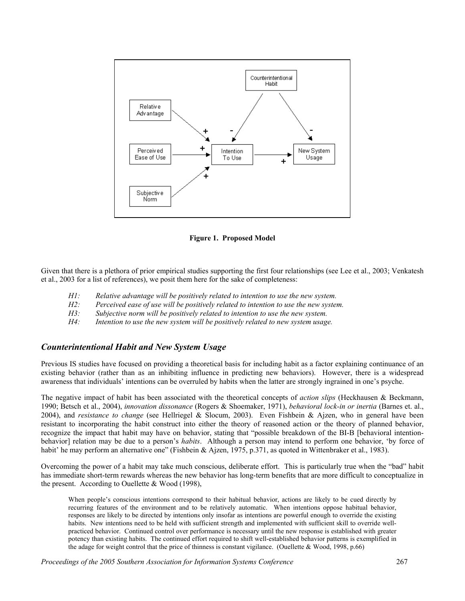

**Figure 1. Proposed Model**

Given that there is a plethora of prior empirical studies supporting the first four relationships (see Lee et al., 2003; Venkatesh et al., 2003 for a list of references), we posit them here for the sake of completeness:

- *H1: Relative advantage will be positively related to intention to use the new system.*
- *H2: Perceived ease of use will be positively related to intention to use the new system.*
- *H3: Subjective norm will be positively related to intention to use the new system.*
- *H4: Intention to use the new system will be positively related to new system usage.*

#### *Counterintentional Habit and New System Usage*

Previous IS studies have focused on providing a theoretical basis for including habit as a factor explaining continuance of an existing behavior (rather than as an inhibiting influence in predicting new behaviors). However, there is a widespread awareness that individuals' intentions can be overruled by habits when the latter are strongly ingrained in one's psyche.

The negative impact of habit has been associated with the theoretical concepts of *action slips* (Heckhausen & Beckmann, 1990; Betsch et al., 2004), *innovation dissonance* (Rogers & Shoemaker, 1971), *behavioral lock-in or inertia* (Barnes et. al., 2004), and *resistance to change* (see Hellriegel & Slocum, 2003). Even Fishbein & Ajzen, who in general have been resistant to incorporating the habit construct into either the theory of reasoned action or the theory of planned behavior, recognize the impact that habit may have on behavior, stating that "possible breakdown of the BI-B [behavioral intentionbehavior] relation may be due to a person's *habits*. Although a person may intend to perform one behavior, 'by force of habit' he may perform an alternative one" (Fishbein & Ajzen, 1975, p.371, as quoted in Wittenbraker et al., 1983).

Overcoming the power of a habit may take much conscious, deliberate effort. This is particularly true when the "bad" habit has immediate short-term rewards whereas the new behavior has long-term benefits that are more difficult to conceptualize in the present. According to Ouellette & Wood (1998),

When people's conscious intentions correspond to their habitual behavior, actions are likely to be cued directly by recurring features of the environment and to be relatively automatic. When intentions oppose habitual behavior, responses are likely to be directed by intentions only insofar as intentions are powerful enough to override the existing habits. New intentions need to be held with sufficient strength and implemented with sufficient skill to override wellpracticed behavior. Continued control over performance is necessary until the new response is established with greater potency than existing habits. The continued effort required to shift well-established behavior patterns is exemplified in the adage for weight control that the price of thinness is constant vigilance. (Ouellette & Wood, 1998, p.66)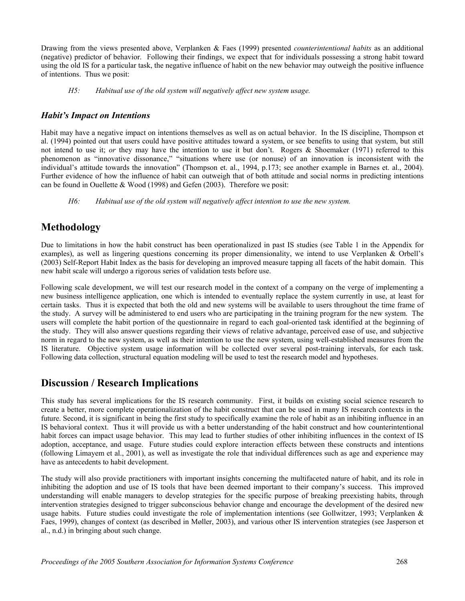Drawing from the views presented above, Verplanken & Faes (1999) presented *counterintentional habits* as an additional (negative) predictor of behavior. Following their findings, we expect that for individuals possessing a strong habit toward using the old IS for a particular task, the negative influence of habit on the new behavior may outweigh the positive influence of intentions. Thus we posit:

*H5: Habitual use of the old system will negatively affect new system usage.* 

#### *Habit's Impact on Intentions*

Habit may have a negative impact on intentions themselves as well as on actual behavior. In the IS discipline, Thompson et al. (1994) pointed out that users could have positive attitudes toward a system, or see benefits to using that system, but still not intend to use it; *or* they may have the intention to use it but don't. Rogers & Shoemaker (1971) referred to this phenomenon as "innovative dissonance," "situations where use (or nonuse) of an innovation is inconsistent with the individual's attitude towards the innovation" (Thompson et. al., 1994, p.173; see another example in Barnes et. al., 2004). Further evidence of how the influence of habit can outweigh that of both attitude and social norms in predicting intentions can be found in Ouellette & Wood (1998) and Gefen (2003). Therefore we posit:

*H6: Habitual use of the old system will negatively affect intention to use the new system.* 

## **Methodology**

Due to limitations in how the habit construct has been operationalized in past IS studies (see Table 1 in the Appendix for examples), as well as lingering questions concerning its proper dimensionality, we intend to use Verplanken & Orbell's (2003) Self-Report Habit Index as the basis for developing an improved measure tapping all facets of the habit domain. This new habit scale will undergo a rigorous series of validation tests before use.

Following scale development, we will test our research model in the context of a company on the verge of implementing a new business intelligence application, one which is intended to eventually replace the system currently in use, at least for certain tasks. Thus it is expected that both the old and new systems will be available to users throughout the time frame of the study. A survey will be administered to end users who are participating in the training program for the new system. The users will complete the habit portion of the questionnaire in regard to each goal-oriented task identified at the beginning of the study. They will also answer questions regarding their views of relative advantage, perceived ease of use, and subjective norm in regard to the new system, as well as their intention to use the new system, using well-established measures from the IS literature. Objective system usage information will be collected over several post-training intervals, for each task. Following data collection, structural equation modeling will be used to test the research model and hypotheses.

## **Discussion / Research Implications**

This study has several implications for the IS research community. First, it builds on existing social science research to create a better, more complete operationalization of the habit construct that can be used in many IS research contexts in the future. Second, it is significant in being the first study to specifically examine the role of habit as an inhibiting influence in an IS behavioral context. Thus it will provide us with a better understanding of the habit construct and how counterintentional habit forces can impact usage behavior. This may lead to further studies of other inhibiting influences in the context of IS adoption, acceptance, and usage. Future studies could explore interaction effects between these constructs and intentions (following Limayem et al., 2001), as well as investigate the role that individual differences such as age and experience may have as antecedents to habit development.

The study will also provide practitioners with important insights concerning the multifaceted nature of habit, and its role in inhibiting the adoption and use of IS tools that have been deemed important to their company's success. This improved understanding will enable managers to develop strategies for the specific purpose of breaking preexisting habits, through intervention strategies designed to trigger subconscious behavior change and encourage the development of the desired new usage habits. Future studies could investigate the role of implementation intentions (see Gollwitzer, 1993; Verplanken & Faes, 1999), changes of context (as described in Møller, 2003), and various other IS intervention strategies (see Jasperson et al., n.d.) in bringing about such change.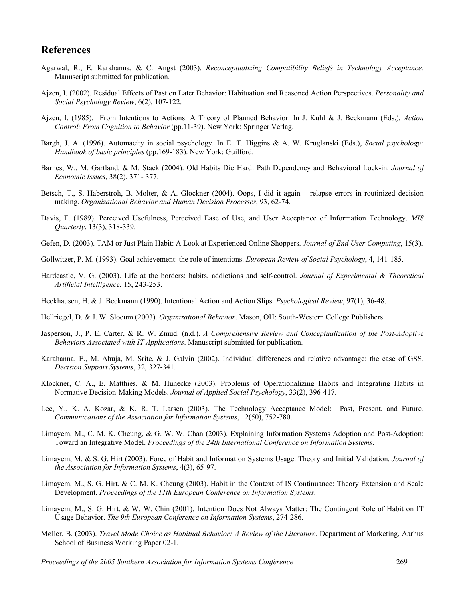#### **References**

- Agarwal, R., E. Karahanna, & C. Angst (2003). *Reconceptualizing Compatibility Beliefs in Technology Acceptance*. Manuscript submitted for publication.
- Ajzen, I. (2002). Residual Effects of Past on Later Behavior: Habituation and Reasoned Action Perspectives. *Personality and Social Psychology Review*, 6(2), 107-122.
- Ajzen, I. (1985). From Intentions to Actions: A Theory of Planned Behavior. In J. Kuhl & J. Beckmann (Eds.), *Action Control: From Cognition to Behavior* (pp.11-39). New York: Springer Verlag.
- Bargh, J. A. (1996). Automacity in social psychology. In E. T. Higgins & A. W. Kruglanski (Eds.), *Social psychology: Handbook of basic principles* (pp.169-183). New York: Guilford.
- Barnes, W., M. Gartland, & M. Stack (2004). Old Habits Die Hard: Path Dependency and Behavioral Lock-in. *Journal of Economic Issues*, 38(2), 371- 377.
- Betsch, T., S. Haberstroh, B. Molter, & A. Glockner (2004). Oops, I did it again relapse errors in routinized decision making. *Organizational Behavior and Human Decision Processes*, 93, 62-74.
- Davis, F. (1989). Perceived Usefulness, Perceived Ease of Use, and User Acceptance of Information Technology. *MIS Quarterly*, 13(3), 318-339.
- Gefen, D. (2003). TAM or Just Plain Habit: A Look at Experienced Online Shoppers. *Journal of End User Computing*, 15(3).
- Gollwitzer, P. M. (1993). Goal achievement: the role of intentions. *European Review of Social Psychology*, 4, 141-185.
- Hardcastle, V. G. (2003). Life at the borders: habits, addictions and self-control. *Journal of Experimental & Theoretical Artificial Intelligence*, 15, 243-253.
- Heckhausen, H. & J. Beckmann (1990). Intentional Action and Action Slips. *Psychological Review*, 97(1), 36-48.
- Hellriegel, D. & J. W. Slocum (2003). *Organizational Behavior*. Mason, OH: South-Western College Publishers.
- Jasperson, J., P. E. Carter, & R. W. Zmud. (n.d.). *A Comprehensive Review and Conceptualization of the Post-Adoptive Behaviors Associated with IT Applications*. Manuscript submitted for publication.
- Karahanna, E., M. Ahuja, M. Srite, & J. Galvin (2002). Individual differences and relative advantage: the case of GSS. *Decision Support Systems*, 32, 327-341.
- Klockner, C. A., E. Matthies, & M. Hunecke (2003). Problems of Operationalizing Habits and Integrating Habits in Normative Decision-Making Models. *Journal of Applied Social Psychology*, 33(2), 396-417.
- Lee, Y., K. A. Kozar, & K. R. T. Larsen (2003). The Technology Acceptance Model: Past, Present, and Future. *Communications of the Association for Information Systems*, 12(50), 752-780.
- Limayem, M., C. M. K. Cheung, & G. W. W. Chan (2003). Explaining Information Systems Adoption and Post-Adoption: Toward an Integrative Model. *Proceedings of the 24th International Conference on Information Systems*.
- Limayem, M. & S. G. Hirt (2003). Force of Habit and Information Systems Usage: Theory and Initial Validation. *Journal of the Association for Information Systems*, 4(3), 65-97.
- Limayem, M., S. G. Hirt, & C. M. K. Cheung (2003). Habit in the Context of IS Continuance: Theory Extension and Scale Development. *Proceedings of the 11th European Conference on Information Systems*.
- Limayem, M., S. G. Hirt, & W. W. Chin (2001). Intention Does Not Always Matter: The Contingent Role of Habit on IT Usage Behavior. *The 9th European Conference on Information Systems*, 274-286.
- Møller, B. (2003). *Travel Mode Choice as Habitual Behavior: A Review of the Literature*. Department of Marketing, Aarhus School of Business Working Paper 02-1.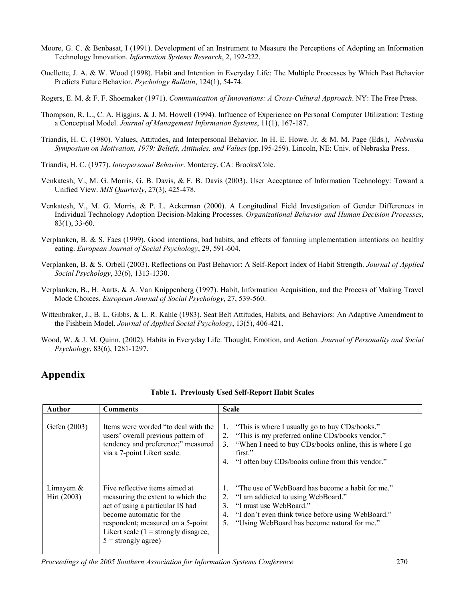- Moore, G. C. & Benbasat, I (1991). Development of an Instrument to Measure the Perceptions of Adopting an Information Technology Innovation*. Information Systems Research*, 2, 192-222.
- Ouellette, J. A. & W. Wood (1998). Habit and Intention in Everyday Life: The Multiple Processes by Which Past Behavior Predicts Future Behavior. *Psychology Bulletin*, 124(1), 54-74.
- Rogers, E. M. & F. F. Shoemaker (1971). *Communication of Innovations: A Cross-Cultural Approach*. NY: The Free Press.
- Thompson, R. L., C. A. Higgins, & J. M. Howell (1994). Influence of Experience on Personal Computer Utilization: Testing a Conceptual Model. *Journal of Management Information Systems*, 11(1), 167-187.
- Triandis, H. C. (1980). Values, Attitudes, and Interpersonal Behavior. In H. E. Howe, Jr. & M. M. Page (Eds.), *Nebraska Symposium on Motivation, 1979: Beliefs, Attitudes, and Values* (pp.195-259). Lincoln, NE: Univ. of Nebraska Press.
- Triandis, H. C. (1977). *Interpersonal Behavior*. Monterey, CA: Brooks/Cole.
- Venkatesh, V., M. G. Morris, G. B. Davis, & F. B. Davis (2003). User Acceptance of Information Technology: Toward a Unified View. *MIS Quarterly*, 27(3), 425-478.
- Venkatesh, V., M. G. Morris, & P. L. Ackerman (2000). A Longitudinal Field Investigation of Gender Differences in Individual Technology Adoption Decision-Making Processes. *Organizational Behavior and Human Decision Processes*, 83(1), 33-60.
- Verplanken, B. & S. Faes (1999). Good intentions, bad habits, and effects of forming implementation intentions on healthy eating. *European Journal of Social Psychology*, 29, 591-604.
- Verplanken, B. & S. Orbell (2003). Reflections on Past Behavior: A Self-Report Index of Habit Strength. *Journal of Applied Social Psychology*, 33(6), 1313-1330.
- Verplanken, B., H. Aarts, & A. Van Knippenberg (1997). Habit, Information Acquisition, and the Process of Making Travel Mode Choices. *European Journal of Social Psychology*, 27, 539-560.
- Wittenbraker, J., B. L. Gibbs, & L. R. Kahle (1983). Seat Belt Attitudes, Habits, and Behaviors: An Adaptive Amendment to the Fishbein Model. *Journal of Applied Social Psychology*, 13(5), 406-421.
- Wood, W. & J. M. Quinn. (2002). Habits in Everyday Life: Thought, Emotion, and Action. *Journal of Personality and Social Psychology*, 83(6), 1281-1297.

## **Appendix**

| Author                       | <b>Comments</b>                                                                                                                                                                                                                             | <b>Scale</b>                                                                                                                                                                                                                                              |
|------------------------------|---------------------------------------------------------------------------------------------------------------------------------------------------------------------------------------------------------------------------------------------|-----------------------------------------------------------------------------------------------------------------------------------------------------------------------------------------------------------------------------------------------------------|
| Gefen (2003)                 | Items were worded "to deal with the<br>users' overall previous pattern of<br>tendency and preference;" measured<br>via a 7-point Likert scale.                                                                                              | "This is where I usually go to buy CDs/books."<br>1.<br>"This is my preferred online CDs/books vendor."<br>2.<br>"When I need to buy CDs/books online, this is where I go<br>$3_{-}$<br>first."<br>"I often buy CDs/books online from this vendor."<br>4. |
| Limayem $&$<br>Hirt $(2003)$ | Five reflective items aimed at<br>measuring the extent to which the<br>act of using a particular IS had<br>become automatic for the<br>respondent; measured on a 5-point<br>Likert scale $(1 =$ strongly disagree,<br>$5 =$ strongly agree) | "The use of WebBoard has become a habit for me."<br>"I am addicted to using WebBoard."<br>2.<br>"I must use WebBoard."<br>$\mathcal{E}$<br>"I don't even think twice before using WebBoard."<br>4.<br>"Using WebBoard has become natural for me."<br>5.   |

**Table 1. Previously Used Self-Report Habit Scales**